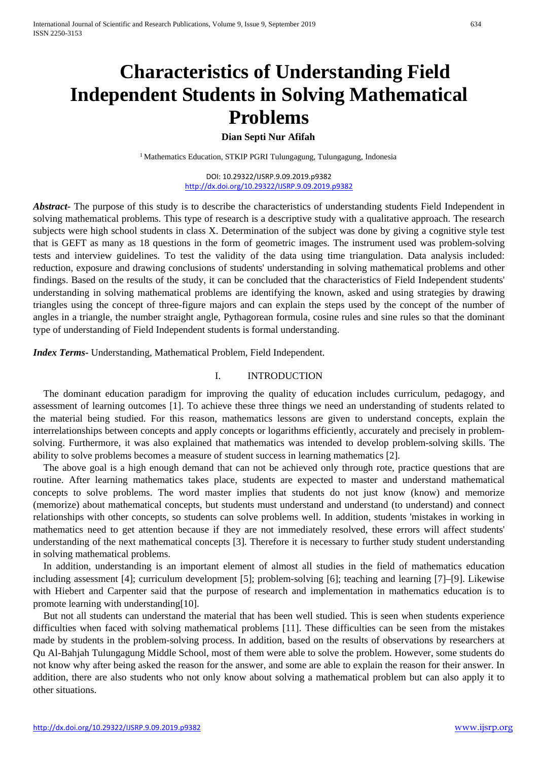# **Characteristics of Understanding Field Independent Students in Solving Mathematical Problems**

# **Dian Septi Nur Afifah**

<sup>1</sup> Mathematics Education, STKIP PGRI Tulungagung, Tulungagung, Indonesia

DOI: 10.29322/IJSRP.9.09.2019.p9382 <http://dx.doi.org/10.29322/IJSRP.9.09.2019.p9382>

*Abstract-* The purpose of this study is to describe the characteristics of understanding students Field Independent in solving mathematical problems. This type of research is a descriptive study with a qualitative approach. The research subjects were high school students in class X. Determination of the subject was done by giving a cognitive style test that is GEFT as many as 18 questions in the form of geometric images. The instrument used was problem-solving tests and interview guidelines. To test the validity of the data using time triangulation. Data analysis included: reduction, exposure and drawing conclusions of students' understanding in solving mathematical problems and other findings. Based on the results of the study, it can be concluded that the characteristics of Field Independent students' understanding in solving mathematical problems are identifying the known, asked and using strategies by drawing triangles using the concept of three-figure majors and can explain the steps used by the concept of the number of angles in a triangle, the number straight angle, Pythagorean formula, cosine rules and sine rules so that the dominant type of understanding of Field Independent students is formal understanding.

*Index Terms-* Understanding, Mathematical Problem, Field Independent.

# I. INTRODUCTION

The dominant education paradigm for improving the quality of education includes curriculum, pedagogy, and assessment of learning outcomes [1]. To achieve these three things we need an understanding of students related to the material being studied. For this reason, mathematics lessons are given to understand concepts, explain the interrelationships between concepts and apply concepts or logarithms efficiently, accurately and precisely in problemsolving. Furthermore, it was also explained that mathematics was intended to develop problem-solving skills. The ability to solve problems becomes a measure of student success in learning mathematics [2].

The above goal is a high enough demand that can not be achieved only through rote, practice questions that are routine. After learning mathematics takes place, students are expected to master and understand mathematical concepts to solve problems. The word master implies that students do not just know (know) and memorize (memorize) about mathematical concepts, but students must understand and understand (to understand) and connect relationships with other concepts, so students can solve problems well. In addition, students 'mistakes in working in mathematics need to get attention because if they are not immediately resolved, these errors will affect students' understanding of the next mathematical concepts [3]. Therefore it is necessary to further study student understanding in solving mathematical problems.

In addition, understanding is an important element of almost all studies in the field of mathematics education including assessment [4]; curriculum development [5]; problem-solving [6]; teaching and learning [7]–[9]. Likewise with Hiebert and Carpenter said that the purpose of research and implementation in mathematics education is to promote learning with understanding[10].

But not all students can understand the material that has been well studied. This is seen when students experience difficulties when faced with solving mathematical problems [11]. These difficulties can be seen from the mistakes made by students in the problem-solving process. In addition, based on the results of observations by researchers at Qu Al-Bahjah Tulungagung Middle School, most of them were able to solve the problem. However, some students do not know why after being asked the reason for the answer, and some are able to explain the reason for their answer. In addition, there are also students who not only know about solving a mathematical problem but can also apply it to other situations.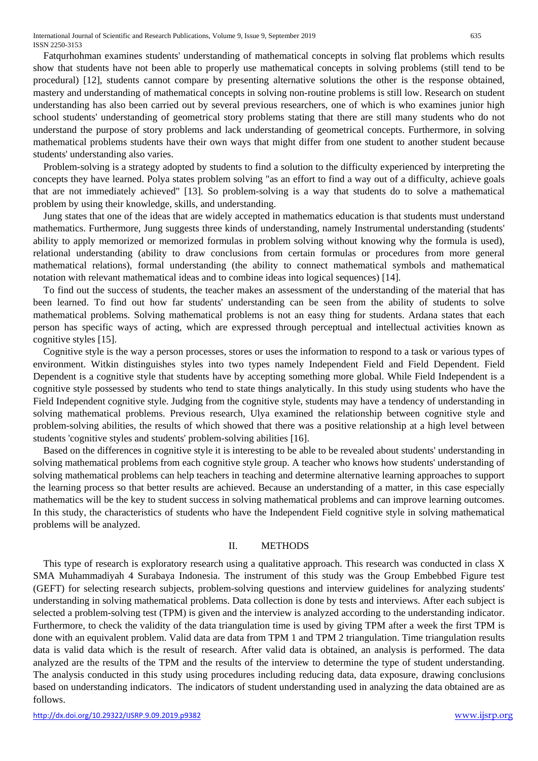Fatqurhohman examines students' understanding of mathematical concepts in solving flat problems which results show that students have not been able to properly use mathematical concepts in solving problems (still tend to be procedural) [12], students cannot compare by presenting alternative solutions the other is the response obtained, mastery and understanding of mathematical concepts in solving non-routine problems is still low. Research on student understanding has also been carried out by several previous researchers, one of which is who examines junior high school students' understanding of geometrical story problems stating that there are still many students who do not understand the purpose of story problems and lack understanding of geometrical concepts. Furthermore, in solving mathematical problems students have their own ways that might differ from one student to another student because students' understanding also varies.

Problem-solving is a strategy adopted by students to find a solution to the difficulty experienced by interpreting the concepts they have learned. Polya states problem solving "as an effort to find a way out of a difficulty, achieve goals that are not immediately achieved" [13]. So problem-solving is a way that students do to solve a mathematical problem by using their knowledge, skills, and understanding.

Jung states that one of the ideas that are widely accepted in mathematics education is that students must understand mathematics. Furthermore, Jung suggests three kinds of understanding, namely Instrumental understanding (students' ability to apply memorized or memorized formulas in problem solving without knowing why the formula is used), relational understanding (ability to draw conclusions from certain formulas or procedures from more general mathematical relations), formal understanding (the ability to connect mathematical symbols and mathematical notation with relevant mathematical ideas and to combine ideas into logical sequences) [14].

To find out the success of students, the teacher makes an assessment of the understanding of the material that has been learned. To find out how far students' understanding can be seen from the ability of students to solve mathematical problems. Solving mathematical problems is not an easy thing for students. Ardana states that each person has specific ways of acting, which are expressed through perceptual and intellectual activities known as cognitive styles [15].

Cognitive style is the way a person processes, stores or uses the information to respond to a task or various types of environment. Witkin distinguishes styles into two types namely Independent Field and Field Dependent. Field Dependent is a cognitive style that students have by accepting something more global. While Field Independent is a cognitive style possessed by students who tend to state things analytically. In this study using students who have the Field Independent cognitive style. Judging from the cognitive style, students may have a tendency of understanding in solving mathematical problems. Previous research, Ulya examined the relationship between cognitive style and problem-solving abilities, the results of which showed that there was a positive relationship at a high level between students 'cognitive styles and students' problem-solving abilities [16].

Based on the differences in cognitive style it is interesting to be able to be revealed about students' understanding in solving mathematical problems from each cognitive style group. A teacher who knows how students' understanding of solving mathematical problems can help teachers in teaching and determine alternative learning approaches to support the learning process so that better results are achieved. Because an understanding of a matter, in this case especially mathematics will be the key to student success in solving mathematical problems and can improve learning outcomes. In this study, the characteristics of students who have the Independent Field cognitive style in solving mathematical problems will be analyzed.

## II. METHODS

This type of research is exploratory research using a qualitative approach. This research was conducted in class X SMA Muhammadiyah 4 Surabaya Indonesia. The instrument of this study was the Group Embebbed Figure test (GEFT) for selecting research subjects, problem-solving questions and interview guidelines for analyzing students' understanding in solving mathematical problems. Data collection is done by tests and interviews. After each subject is selected a problem-solving test (TPM) is given and the interview is analyzed according to the understanding indicator. Furthermore, to check the validity of the data triangulation time is used by giving TPM after a week the first TPM is done with an equivalent problem. Valid data are data from TPM 1 and TPM 2 triangulation. Time triangulation results data is valid data which is the result of research. After valid data is obtained, an analysis is performed. The data analyzed are the results of the TPM and the results of the interview to determine the type of student understanding. The analysis conducted in this study using procedures including reducing data, data exposure, drawing conclusions based on understanding indicators. The indicators of student understanding used in analyzing the data obtained are as follows.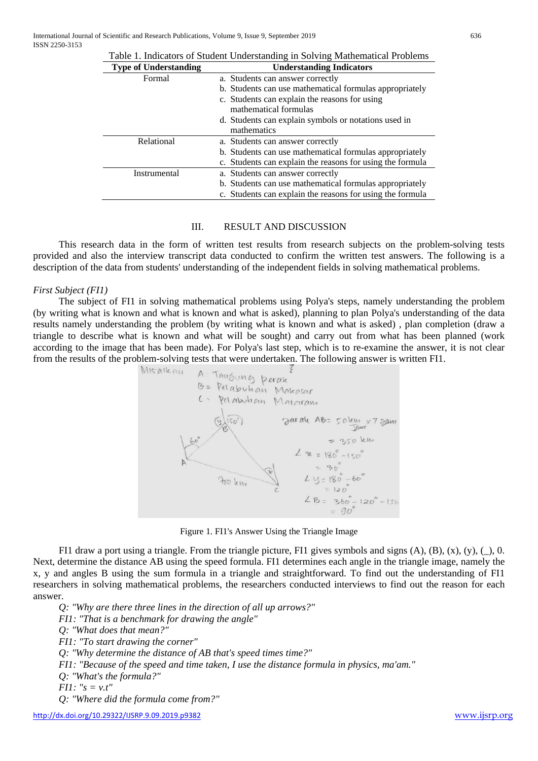| Table 1. Indicators of Student Understanding in Solving Mathematical Problems |                                                           |
|-------------------------------------------------------------------------------|-----------------------------------------------------------|
| <b>Type of Understanding</b>                                                  | <b>Understanding Indicators</b>                           |
| Formal                                                                        | a. Students can answer correctly                          |
|                                                                               | b. Students can use mathematical formulas appropriately   |
|                                                                               | c. Students can explain the reasons for using             |
|                                                                               | mathematical formulas                                     |
|                                                                               | d. Students can explain symbols or notations used in      |
|                                                                               | mathematics                                               |
| Relational                                                                    | a. Students can answer correctly                          |
|                                                                               | b. Students can use mathematical formulas appropriately   |
|                                                                               | c. Students can explain the reasons for using the formula |
| Instrumental                                                                  | a. Students can answer correctly                          |
|                                                                               | b. Students can use mathematical formulas appropriately   |
|                                                                               | c. Students can explain the reasons for using the formula |

#### III. RESULT AND DISCUSSION

This research data in the form of written test results from research subjects on the problem-solving tests provided and also the interview transcript data conducted to confirm the written test answers. The following is a description of the data from students' understanding of the independent fields in solving mathematical problems.

#### *First Subject (FI1)*

The subject of FI1 in solving mathematical problems using Polya's steps, namely understanding the problem (by writing what is known and what is known and what is asked), planning to plan Polya's understanding of the data results namely understanding the problem (by writing what is known and what is asked) , plan completion (draw a triangle to describe what is known and what will be sought) and carry out from what has been planned (work according to the image that has been made). For Polya's last step, which is to re-examine the answer, it is not clear from the results of the problem-solving tests that were undertaken. The following answer is written FI1.





FI1 draw a port using a triangle. From the triangle picture, FI1 gives symbols and signs  $(A)$ ,  $(B)$ ,  $(x)$ ,  $(y)$ ,  $( )$ , 0. Next, determine the distance AB using the speed formula. FI1 determines each angle in the triangle image, namely the x, y and angles B using the sum formula in a triangle and straightforward. To find out the understanding of FI1 researchers in solving mathematical problems, the researchers conducted interviews to find out the reason for each answer.

*Q: "Why are there three lines in the direction of all up arrows?" FI1: "That is a benchmark for drawing the angle" Q: "What does that mean?" FI1: "To start drawing the corner" Q: "Why determine the distance of AB that's speed times time?" FI1: "Because of the speed and time taken, I use the distance formula in physics, ma'am." Q: "What's the formula?" FI1: "s = v.t" Q: "Where did the formula come from?"*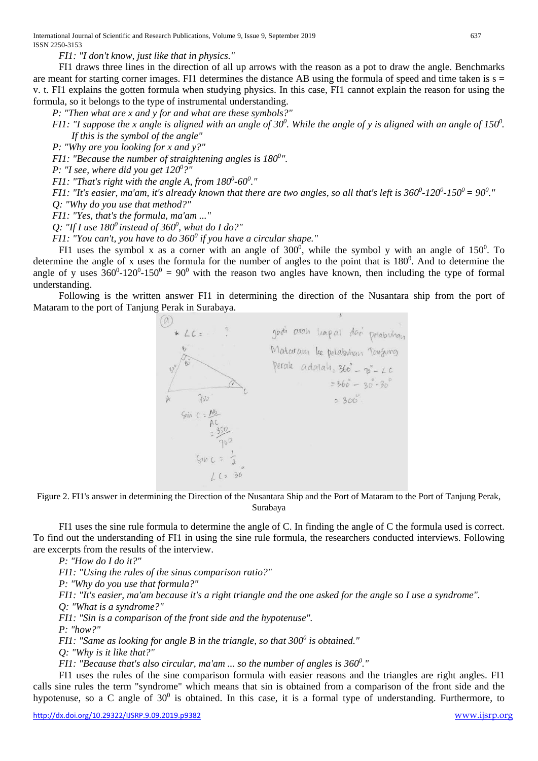International Journal of Scientific and Research Publications, Volume 9, Issue 9, September 2019 637 ISSN 2250-3153

*FI1: "I don't know, just like that in physics."*

FI1 draws three lines in the direction of all up arrows with the reason as a pot to draw the angle. Benchmarks are meant for starting corner images. FI1 determines the distance AB using the formula of speed and time taken is  $s =$ v. t. FI1 explains the gotten formula when studying physics. In this case, FI1 cannot explain the reason for using the formula, so it belongs to the type of instrumental understanding.

*P: "Then what are x and y for and what are these symbols?"*

*FI1: "I suppose the x angle is aligned with an angle of 30<sup>0</sup>. While the angle of y is aligned with an angle of 150<sup>0</sup>. If this is the symbol of the angle"*

*P: "Why are you looking for x and y?"*

*FI1: "Because the number of straightening angles is 180<sup>0</sup>".* 

*P: "I see, where did you get 1200 ?"*

*FI1: "That's right with the angle A, from*  $180^0$ *-60* $^0$ *."* 

*FI1: "It's easier, ma'am, it's already known that there are two angles, so all that's left is 360<sup>0</sup>-120<sup>0</sup>-150<sup>0</sup> = 90<sup>0</sup>." Q: "Why do you use that method?"*

*FI1: "Yes, that's the formula, ma'am ..."*

*Q: "If I use 1800 instead of 3600 , what do I do?"*

*FI1: "You can't, you have to do 360<sup>0</sup> if you have a circular shape."* 

FI1 uses the symbol x as a corner with an angle of  $300^0$ , while the symbol y with an angle of  $150^0$ . To determine the angle of x uses the formula for the number of angles to the point that is  $180^\circ$ . And to determine the angle of y uses  $360^0 \text{-} 120^0 \text{-} 150^0 = 90^0$  with the reason two angles have known, then including the type of formal understanding.

Following is the written answer FI1 in determining the direction of the Nusantara ship from the port of Mataram to the port of Tanjung Perak in Surabaya.

> gadi arah hapal dari pelabuhan  $*1C-$ Mataram ke pelabohan Tanjurg perale adalah:  $366^\circ - 70^\circ - 4c$  $=360^{\circ}-30.30^{\circ}$  $700$  $= 300$  $Sin C = AB$

Figure 2. FI1's answer in determining the Direction of the Nusantara Ship and the Port of Mataram to the Port of Tanjung Perak, Surabaya

FI1 uses the sine rule formula to determine the angle of C. In finding the angle of C the formula used is correct. To find out the understanding of FI1 in using the sine rule formula, the researchers conducted interviews. Following are excerpts from the results of the interview.

*P: "How do I do it?"*

*FI1: "Using the rules of the sinus comparison ratio?" P: "Why do you use that formula?" FI1: "It's easier, ma'am because it's a right triangle and the one asked for the angle so I use a syndrome". Q: "What is a syndrome?" FI1: "Sin is a comparison of the front side and the hypotenuse". P: "how?" FI1: "Same as looking for angle B in the triangle, so that 300<sup>0</sup> is obtained." Q: "Why is it like that?" FI1: "Because that's also circular, ma'am ... so the number of angles is 360<sup>0</sup> ."*

FI1 uses the rules of the sine comparison formula with easier reasons and the triangles are right angles. FI1 calls sine rules the term "syndrome" which means that sin is obtained from a comparison of the front side and the hypotenuse, so a C angle of  $30^0$  is obtained. In this case, it is a formal type of understanding. Furthermore, to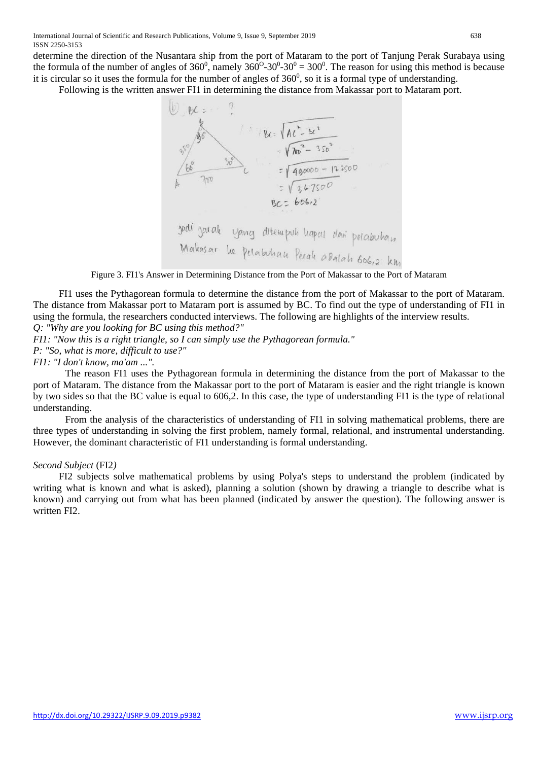determine the direction of the Nusantara ship from the port of Mataram to the port of Tanjung Perak Surabaya using the formula of the number of angles of  $360^0$ , namely  $360^0$ - $30^0$ - $30^0$  =  $300^0$ . The reason for using this method is because it is circular so it uses the formula for the number of angles of  $360^0$ , so it is a formal type of understanding.

Following is the written answer FI1 in determining the distance from Makassar port to Mataram port.



Figure 3. FI1's Answer in Determining Distance from the Port of Makassar to the Port of Mataram

FI1 uses the Pythagorean formula to determine the distance from the port of Makassar to the port of Mataram. The distance from Makassar port to Mataram port is assumed by BC. To find out the type of understanding of FI1 in using the formula, the researchers conducted interviews. The following are highlights of the interview results.

*Q: "Why are you looking for BC using this method?"*

*FI1: "Now this is a right triangle, so I can simply use the Pythagorean formula."*

*P: "So, what is more, difficult to use?"*

*FI1: "I don't know, ma'am ...".*

The reason FI1 uses the Pythagorean formula in determining the distance from the port of Makassar to the port of Mataram. The distance from the Makassar port to the port of Mataram is easier and the right triangle is known by two sides so that the BC value is equal to 606,2. In this case, the type of understanding FI1 is the type of relational understanding.

From the analysis of the characteristics of understanding of FI1 in solving mathematical problems, there are three types of understanding in solving the first problem, namely formal, relational, and instrumental understanding. However, the dominant characteristic of FI1 understanding is formal understanding.

#### *Second Subject* (FI2*)*

FI2 subjects solve mathematical problems by using Polya's steps to understand the problem (indicated by writing what is known and what is asked), planning a solution (shown by drawing a triangle to describe what is known) and carrying out from what has been planned (indicated by answer the question). The following answer is written FI2.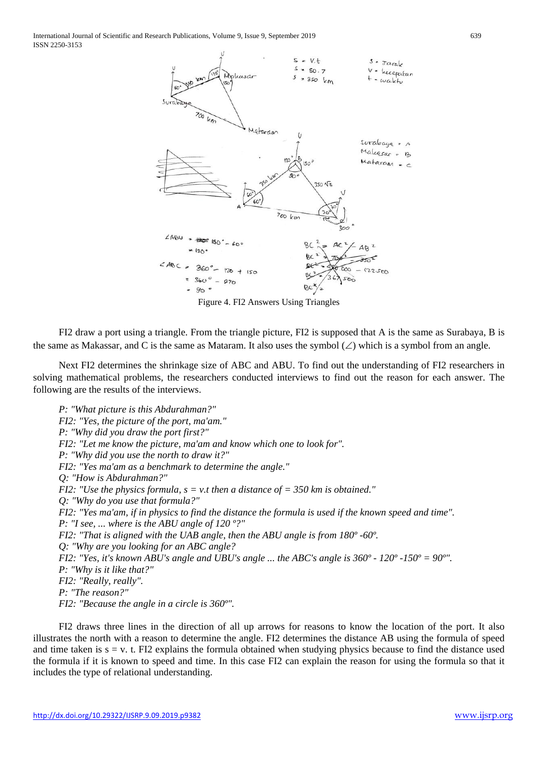International Journal of Scientific and Research Publications, Volume 9, Issue 9, September 2019 639 ISSN 2250-3153



Figure 4. FI2 Answers Using Triangles

FI2 draw a port using a triangle. From the triangle picture, FI2 is supposed that A is the same as Surabaya, B is the same as Makassar, and C is the same as Mataram. It also uses the symbol  $(\angle)$  which is a symbol from an angle.

Next FI2 determines the shrinkage size of ABC and ABU. To find out the understanding of FI2 researchers in solving mathematical problems, the researchers conducted interviews to find out the reason for each answer. The following are the results of the interviews.

*P: "What picture is this Abdurahman?" FI2: "Yes, the picture of the port, ma'am." P: "Why did you draw the port first?" FI2: "Let me know the picture, ma'am and know which one to look for". P: "Why did you use the north to draw it?" FI2: "Yes ma'am as a benchmark to determine the angle." Q: "How is Abdurahman?" FI2: "Use the physics formula, s = v.t then a distance of = 350 km is obtained." Q: "Why do you use that formula?" FI2: "Yes ma'am, if in physics to find the distance the formula is used if the known speed and time". P: "I see, ... where is the ABU angle of 120 º?" FI2: "That is aligned with the UAB angle, then the ABU angle is from 180º -60º. Q: "Why are you looking for an ABC angle? FI2: "Yes, it's known ABU's angle and UBU's angle ... the ABC's angle is 360º - 120º -150º = 90º". P: "Why is it like that?" FI2: "Really, really". P: "The reason?" FI2: "Because the angle in a circle is 360º".*

FI2 draws three lines in the direction of all up arrows for reasons to know the location of the port. It also illustrates the north with a reason to determine the angle. FI2 determines the distance AB using the formula of speed and time taken is  $s = v$ . t. FI2 explains the formula obtained when studying physics because to find the distance used the formula if it is known to speed and time. In this case FI2 can explain the reason for using the formula so that it includes the type of relational understanding.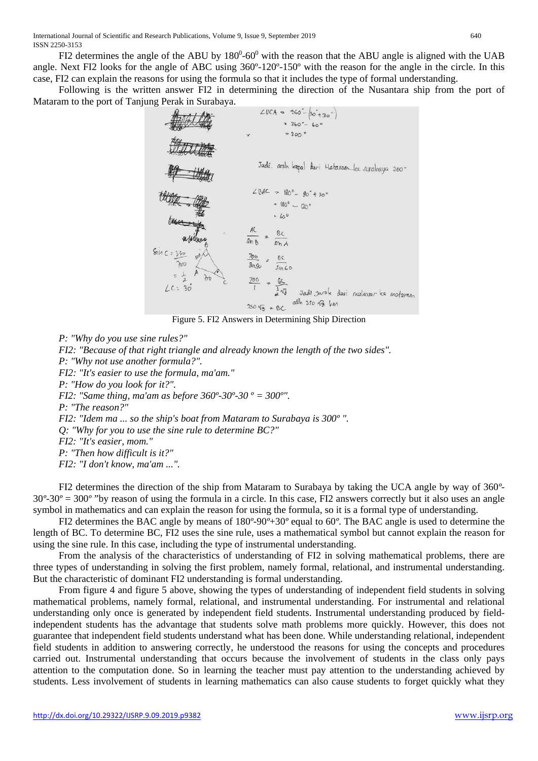FI2 determines the angle of the ABU by  $180^0$ -60<sup>0</sup> with the reason that the ABU angle is aligned with the UAB angle. Next FI2 looks for the angle of ABC using 360º-120º-150º with the reason for the angle in the circle. In this case, FI2 can explain the reasons for using the formula so that it includes the type of formal understanding.

Following is the written answer FI2 in determining the direction of the Nusantara ship from the port of Mataram to the port of Tanjung Perak in Surabaya.



Figure 5. FI2 Answers in Determining Ship Direction

*P: "Why do you use sine rules?" FI2: "Because of that right triangle and already known the length of the two sides". P: "Why not use another formula?". FI2: "It's easier to use the formula, ma'am." P: "How do you look for it?". FI2: "Same thing, ma'am as before 360º-30º-30 º = 300º". P: "The reason?" FI2: "Idem ma ... so the ship's boat from Mataram to Surabaya is 300º ". Q: "Why for you to use the sine rule to determine BC?" FI2: "It's easier, mom." P: "Then how difficult is it?" FI2: "I don't know, ma'am ...".*

FI2 determines the direction of the ship from Mataram to Surabaya by taking the UCA angle by way of 360*º*-30*º*-30*º* = 300*º* "by reason of using the formula in a circle. In this case, FI2 answers correctly but it also uses an angle symbol in mathematics and can explain the reason for using the formula, so it is a formal type of understanding.

FI2 determines the BAC angle by means of 180*º*-90*º*+30*º* equal to 60*º*. The BAC angle is used to determine the length of BC. To determine BC, FI2 uses the sine rule, uses a mathematical symbol but cannot explain the reason for using the sine rule. In this case, including the type of instrumental understanding.

From the analysis of the characteristics of understanding of FI2 in solving mathematical problems, there are three types of understanding in solving the first problem, namely formal, relational, and instrumental understanding. But the characteristic of dominant FI2 understanding is formal understanding.

From figure 4 and figure 5 above, showing the types of understanding of independent field students in solving mathematical problems, namely formal, relational, and instrumental understanding. For instrumental and relational understanding only once is generated by independent field students. Instrumental understanding produced by fieldindependent students has the advantage that students solve math problems more quickly. However, this does not guarantee that independent field students understand what has been done. While understanding relational, independent field students in addition to answering correctly, he understood the reasons for using the concepts and procedures carried out. Instrumental understanding that occurs because the involvement of students in the class only pays attention to the computation done. So in learning the teacher must pay attention to the understanding achieved by students. Less involvement of students in learning mathematics can also cause students to forget quickly what they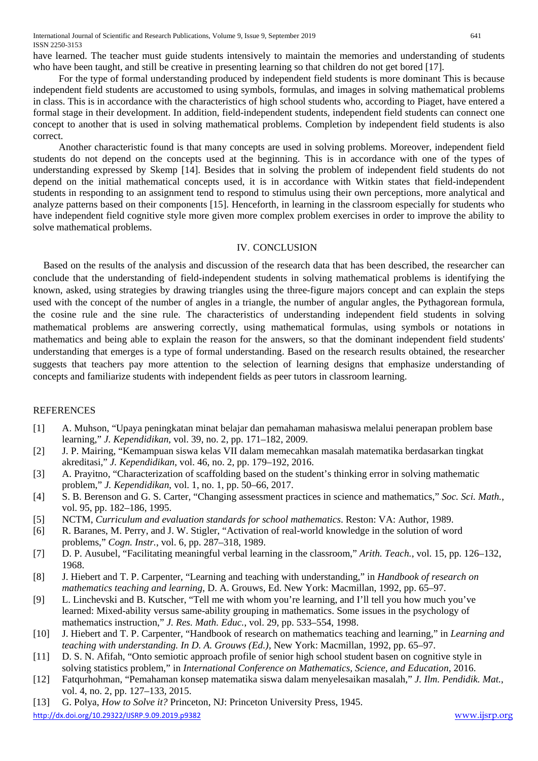International Journal of Scientific and Research Publications, Volume 9, Issue 9, September 2019 641 ISSN 2250-3153

have learned. The teacher must guide students intensively to maintain the memories and understanding of students who have been taught, and still be creative in presenting learning so that children do not get bored [17].

For the type of formal understanding produced by independent field students is more dominant This is because independent field students are accustomed to using symbols, formulas, and images in solving mathematical problems in class. This is in accordance with the characteristics of high school students who, according to Piaget, have entered a formal stage in their development. In addition, field-independent students, independent field students can connect one concept to another that is used in solving mathematical problems. Completion by independent field students is also correct.

Another characteristic found is that many concepts are used in solving problems. Moreover, independent field students do not depend on the concepts used at the beginning. This is in accordance with one of the types of understanding expressed by Skemp [14]. Besides that in solving the problem of independent field students do not depend on the initial mathematical concepts used, it is in accordance with Witkin states that field-independent students in responding to an assignment tend to respond to stimulus using their own perceptions, more analytical and analyze patterns based on their components [15]. Henceforth, in learning in the classroom especially for students who have independent field cognitive style more given more complex problem exercises in order to improve the ability to solve mathematical problems.

### IV. CONCLUSION

Based on the results of the analysis and discussion of the research data that has been described, the researcher can conclude that the understanding of field-independent students in solving mathematical problems is identifying the known, asked, using strategies by drawing triangles using the three-figure majors concept and can explain the steps used with the concept of the number of angles in a triangle, the number of angular angles, the Pythagorean formula, the cosine rule and the sine rule. The characteristics of understanding independent field students in solving mathematical problems are answering correctly, using mathematical formulas, using symbols or notations in mathematics and being able to explain the reason for the answers, so that the dominant independent field students' understanding that emerges is a type of formal understanding. Based on the research results obtained, the researcher suggests that teachers pay more attention to the selection of learning designs that emphasize understanding of concepts and familiarize students with independent fields as peer tutors in classroom learning.

## REFERENCES

- [1] A. Muhson, "Upaya peningkatan minat belajar dan pemahaman mahasiswa melalui penerapan problem base learning," *J. Kependidikan*, vol. 39, no. 2, pp. 171–182, 2009.
- [2] J. P. Mairing, "Kemampuan siswa kelas VII dalam memecahkan masalah matematika berdasarkan tingkat akreditasi," *J. Kependidikan*, vol. 46, no. 2, pp. 179–192, 2016.
- [3] A. Prayitno, "Characterization of scaffolding based on the student's thinking error in solving mathematic problem," *J. Kependidikan*, vol. 1, no. 1, pp. 50–66, 2017.
- [4] S. B. Berenson and G. S. Carter, "Changing assessment practices in science and mathematics," *Soc. Sci. Math.*, vol. 95, pp. 182–186, 1995.
- [5] NCTM, *Curriculum and evaluation standards for school mathematics*. Reston: VA: Author, 1989.
- [6] R. Baranes, M. Perry, and J. W. Stigler, "Activation of real-world knowledge in the solution of word problems," *Cogn. Instr.*, vol. 6, pp. 287–318, 1989.
- [7] D. P. Ausubel, "Facilitating meaningful verbal learning in the classroom," *Arith. Teach.*, vol. 15, pp. 126–132, 1968.
- [8] J. Hiebert and T. P. Carpenter, "Learning and teaching with understanding," in *Handbook of research on mathematics teaching and learning*, D. A. Grouws, Ed. New York: Macmillan, 1992, pp. 65–97.
- [9] L. Linchevski and B. Kutscher, "Tell me with whom you're learning, and I'll tell you how much you've learned: Mixed-ability versus same-ability grouping in mathematics. Some issues in the psychology of mathematics instruction," *J. Res. Math. Educ.*, vol. 29, pp. 533–554, 1998.
- [10] J. Hiebert and T. P. Carpenter, "Handbook of research on mathematics teaching and learning," in *Learning and teaching with understanding. In D. A. Grouws (Ed.)*, New York: Macmillan, 1992, pp. 65–97.
- [11] D. S. N. Afifah, "Onto semiotic approach profile of senior high school student basen on cognitive style in solving statistics problem," in *International Conference on Mathematics, Science, and Education*, 2016.
- [12] Fatqurhohman, "Pemahaman konsep matematika siswa dalam menyelesaikan masalah," *J. Ilm. Pendidik. Mat.*, vol. 4, no. 2, pp. 127–133, 2015.
- <http://dx.doi.org/10.29322/IJSRP.9.09.2019.p9382> [www.ijsrp.org](http://ijsrp.org/) [13] G. Polya, *How to Solve it?* Princeton, NJ: Princeton University Press, 1945.